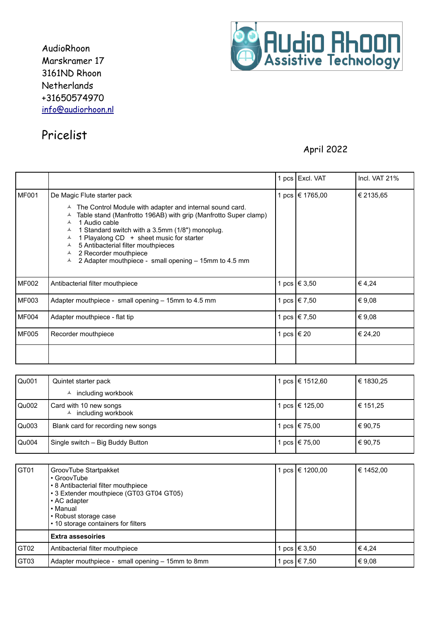AudioRhoon Marskramer 17 3161ND Rhoon Netherlands +31650574970 info@audiorhoon.nl



## Pricelist

## April 2022

|              |                                                                                                                                                                                                                                                                                                                                                                                                                                              |              | 1 pcs   Excl. VAT | Incl. VAT $21\%$ |
|--------------|----------------------------------------------------------------------------------------------------------------------------------------------------------------------------------------------------------------------------------------------------------------------------------------------------------------------------------------------------------------------------------------------------------------------------------------------|--------------|-------------------|------------------|
| <b>MF001</b> | De Magic Flute starter pack<br>$\sim$ The Control Module with adapter and internal sound card.<br>Table stand (Manfrotto 196AB) with grip (Manfrotto Super clamp)<br>1 Audio cable<br>1 Standard switch with a 3.5mm (1/8") monoplug.<br>1 Playalong CD + sheet music for starter<br>A<br>5 Antibacterial filter mouthpieces<br>$\blacktriangle$<br>2 Recorder mouthpiece<br>A<br>2 Adapter mouthpiece - small opening - 15mm to 4.5 mm<br>A |              | 1 pcs   € 1765,00 | € 2135,65        |
| MF002        | Antibacterial filter mouthpiece                                                                                                                                                                                                                                                                                                                                                                                                              |              | 1 pcs   € 3,50    | € 4,24           |
| MF003        | Adapter mouthpiece - small opening - 15mm to 4.5 mm                                                                                                                                                                                                                                                                                                                                                                                          |              | 1 pcs   € 7,50    | € 9,08           |
| MF004        | Adapter mouthpiece - flat tip                                                                                                                                                                                                                                                                                                                                                                                                                |              | 1 pcs   € 7,50    | € 9,08           |
| <b>MF005</b> | Recorder mouthpiece                                                                                                                                                                                                                                                                                                                                                                                                                          | 1 pcs   € 20 |                   | € 24,20          |
|              |                                                                                                                                                                                                                                                                                                                                                                                                                                              |              |                   |                  |

| Qu001 | Quintet starter pack                                     | l pcs  € 1512,60 | ∣€ 1830,25 |
|-------|----------------------------------------------------------|------------------|------------|
|       | including workbook                                       |                  |            |
| Qu002 | Card with 10 new songs<br>$\triangle$ including workbook | l pcs   € 125,00 | € 151,25   |
| Qu003 | Blank card for recording new songs                       | pcs   € 75,00    | € 90.75    |
| Qu004 | Single switch - Big Buddy Button                         | pcs   € 75,00    | € 90.75    |

| GT01             | GroovTube Startpakket<br>• GroovTube<br>• 8 Antibacterial filter mouthpiece<br>• 3 Extender mouthpiece (GT03 GT04 GT05)<br>• AC adapter<br>• Manual<br>• Robust storage case<br>• 10 storage containers for filters | pcs   € 1200,00      | € 1452,00 |
|------------------|---------------------------------------------------------------------------------------------------------------------------------------------------------------------------------------------------------------------|----------------------|-----------|
|                  | <b>Extra assesoiries</b>                                                                                                                                                                                            |                      |           |
| GT <sub>02</sub> | Antibacterial filter mouthpiece                                                                                                                                                                                     | $pcs \geqslant 3.50$ | €4.24     |
| GT <sub>03</sub> | Adapter mouthpiece - small opening - 15mm to 8mm                                                                                                                                                                    | pcs $ \t∈ 7.50$      | € 9,08    |